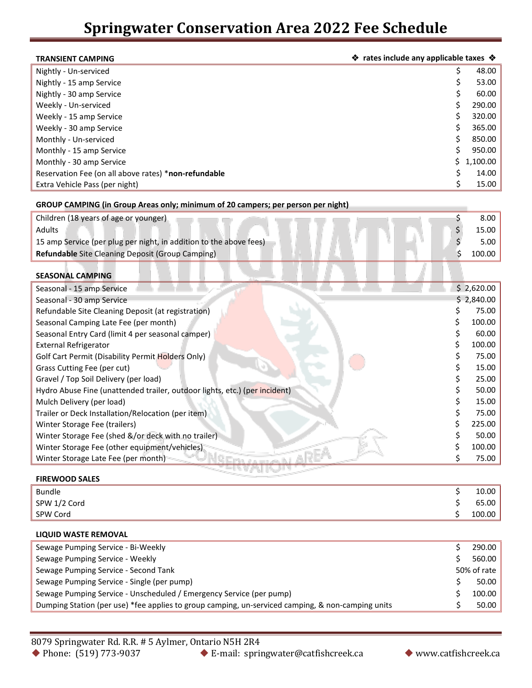| <b>TRANSIENT CAMPING</b>                             | ❖ rates include any applicable taxes ❖ |            |  |
|------------------------------------------------------|----------------------------------------|------------|--|
| Nightly - Un-serviced                                | \$                                     | 48.00      |  |
| Nightly - 15 amp Service                             | S                                      | 53.00      |  |
| Nightly - 30 amp Service                             | S                                      | 60.00      |  |
| Weekly - Un-serviced                                 |                                        | 290.00     |  |
| Weekly - 15 amp Service                              |                                        | 320.00     |  |
| Weekly - 30 amp Service                              |                                        | 365.00     |  |
| Monthly - Un-serviced                                |                                        | 850.00     |  |
| Monthly - 15 amp Service                             |                                        | 950.00     |  |
| Monthly - 30 amp Service                             |                                        | \$1,100.00 |  |
| Reservation Fee (on all above rates) *non-refundable |                                        | 14.00      |  |
| Extra Vehicle Pass (per night)                       |                                        | 15.00      |  |

## **GROUP CAMPING (in Group Areas only; minimum of 20 campers; per person per night)**

| Children (18 years of age or younger)                                      | 8.00       |
|----------------------------------------------------------------------------|------------|
| Adults                                                                     | 15.00      |
| 15 amp Service (per plug per night, in addition to the above fees)         | 5.00       |
| Refundable Site Cleaning Deposit (Group Camping)                           | 100.00     |
|                                                                            |            |
| <b>SEASONAL CAMPING</b>                                                    |            |
| Seasonal - 15 amp Service                                                  | \$2,620.00 |
| Seasonal - 30 amp Service                                                  | \$2,840.00 |
| Refundable Site Cleaning Deposit (at registration)                         | 75.00      |
| Seasonal Camping Late Fee (per month)                                      | 100.00     |
| Seasonal Entry Card (limit 4 per seasonal camper)                          | 60.00      |
| <b>External Refrigerator</b>                                               | 100.00     |
| Golf Cart Permit (Disability Permit Holders Only)                          | 75.00      |
| Grass Cutting Fee (per cut)                                                | 15.00      |
| Gravel / Top Soil Delivery (per load)                                      | 25.00      |
| Hydro Abuse Fine (unattended trailer, outdoor lights, etc.) (per incident) | 50.00      |
| Mulch Delivery (per load)                                                  | 15.00      |
| Trailer or Deck Installation/Relocation (per item)                         | 75.00      |
| Winter Storage Fee (trailers)                                              | 225.00     |
| Winter Storage Fee (shed &/or deck with no trailer)                        | 50.00      |
| Winter Storage Fee (other equipment/vehicles)                              | 100.00     |
| Winter Storage Late Fee (per month)                                        | 75.00      |
|                                                                            |            |

## **FIREWOOD SALES**

| <b>Bundle</b> | 10.00  |
|---------------|--------|
| SPW 1/2 Cord  | 65.00  |
| SPW Cord      | 100.00 |

## **LIQUID WASTE REMOVAL**

| Sewage Pumping Service - Bi-Weekly                                                                | 290.00      |
|---------------------------------------------------------------------------------------------------|-------------|
| Sewage Pumping Service - Weekly                                                                   | 560.00      |
| Sewage Pumping Service - Second Tank                                                              | 50% of rate |
| Sewage Pumping Service - Single (per pump)                                                        | 50.00       |
| Sewage Pumping Service - Unscheduled / Emergency Service (per pump)                               | 100.00      |
| Dumping Station (per use) *fee applies to group camping, un-serviced camping, & non-camping units | 50.00       |

◆ E-mail: springwater@catfishcreek.ca → www.catfishcreek.ca